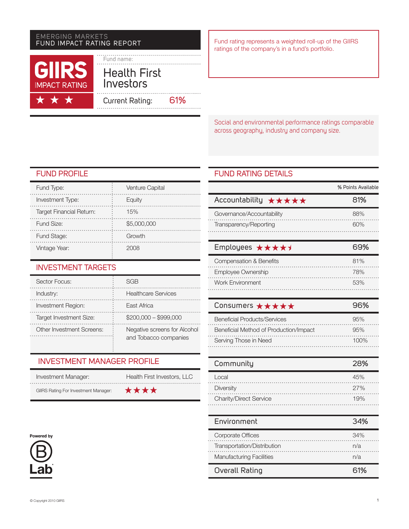### Emerging markets FUND Impact Rating Report



Fund rating represents a weighted roll-up of the GIIRS ratings of the company's in a fund's portfolio.

Social and environmental performance ratings comparable across geography, industry and company size.

# FUND PROFILE

| Fund Type:                      | Venture Capital |
|---------------------------------|-----------------|
| Investment Type:                | Equity          |
| <b>Target Financial Return:</b> | 15%             |
| Fund Size:                      | \$5,000,000     |
| Fund Stage:                     | Growth          |
| Vintage Year:                   |                 |

### Investment targets

| Sector Focus:                  | SGR                                                   |
|--------------------------------|-------------------------------------------------------|
| Industry:                      | <b>Healthcare Services</b>                            |
| Investment Region:             | East Africa                                           |
| <b>Target Investment Size:</b> | $$200,000 - $999,000$                                 |
| Other Investment Screens:      | Negative screens for Alcohol<br>and Tobacco companies |

÷

# Investment Manager Profile

| Investment Manager:                         | Health First Investors, LLC |
|---------------------------------------------|-----------------------------|
| <b>GIIRS Rating For Investment Manager:</b> | ****                        |

### Powered by



### FUND RATING DETAILS

|                                                | % Points Available |
|------------------------------------------------|--------------------|
| Accountability $\star \star \star \star \star$ | 81%                |
| Governance/Accountability                      | 88%                |
| Transparency/Reporting                         |                    |

| Employees $\star \star \star \star \star$ | 69% |
|-------------------------------------------|-----|
| <b>Compensation &amp; Benefits</b>        | 81% |
| Employee Ownership                        | 78% |
| <b>Work Environment</b>                   | 53% |

| Consumers $\star \star \star \star \star$ |      |
|-------------------------------------------|------|
| <b>Beneficial Products/Services</b>       | 95%  |
| Beneficial Method of Production/Impact    | 95%  |
| Serving Those in Need                     | 100% |

| Community                     | 28% |
|-------------------------------|-----|
| Local                         | 45% |
| Diversity                     | 27% |
| <b>Charity/Direct Service</b> | 19% |

| Environment                     | 34% |
|---------------------------------|-----|
| Corporate Offices               | 34% |
| Transportation/Distribution     | n/a |
| <b>Manufacturing Facilities</b> | n/a |
| Overall Rating                  | 61% |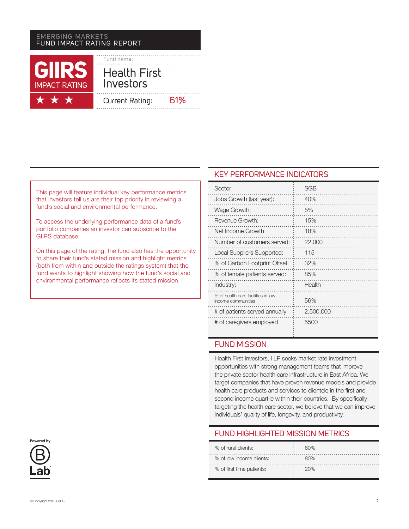### emerging markets FUND Impact Rating Report



This page will feature individual key performance metrics that investors tell us are their top priority in reviewing a fund's social and environmental performance.

To access the underlying performance data of a fund's portfolio companies an investor can subscribe to the GIIRS database.

On this page of the rating, the fund also has the opportunity to share their fund's stated mission and highlight metrics (both from within and outside the ratings system) that the fund wants to highlight showing how the fund's social and environmental performance reflects its stated mission.

### KEY PERFORMANCE INDICATORS

| Sector:                                                  | SGB       |
|----------------------------------------------------------|-----------|
| Jobs Growth (last year):                                 | 40%       |
| Wage Growth:                                             | 5%        |
| Revenue Growth:                                          | 15%       |
| Net Income Growth                                        | 18%       |
| Number of customers served:                              | 22,000    |
| Local Suppliers Supported:                               | 115       |
| % of Carbon Footprint Offset                             | 32%       |
| % of female patients served:                             | 85%       |
| Industry:                                                | Health    |
| % of health care facilities in low<br>income communities | 56%       |
| # of patients served annually                            | 2,500,000 |
| # of caregivers employed                                 | 5500      |

# FUND MISSION

Health First Investors, I LP seeks market rate investment opportunities with strong management teams that improve the private sector health care infrastructure in East Africa. We target companies that have proven revenue models and provide health care products and services to clientele in the first and second income quartile within their countries. By specifically targeting the health care sector, we believe that we can improve individuals' quality of life, longevity, and productivity.

### FUND Highlighted Mission Metrics

| % of rural clients:           | ഒറ% |
|-------------------------------|-----|
| % of low income clients:<br>. |     |
| % of first time patients:     | 20% |

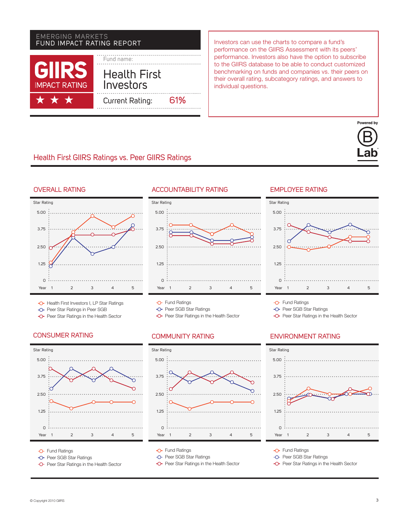# Fund name: Health First Investors Current Rating: 61% EMERGING MARKETS<br>FUND IMPACT RATING REPORT

Investors can use the charts to compare a fund's performance on the GIIRS Assessment with its peers' performance. Investors also have the option to subscribe to the GIIRS database to be able to conduct customized benchmarking on funds and companies vs. their peers on their overall rating, subcategory ratings, and answers to individual questions.

# Health First GIIRS Ratings vs. Peer GIIRS Ratings





- -O- Health First Investors I, LP Star Ratings
- -O- Peer Star Ratings in Peer SGB
- **-O-** Peer Star Ratings in the Health Sector

### CONSUMER RATING COMMUNITY RATING



**-O-** Fund Ratings

- -O- Peer SGB Star Ratings
- -O- Peer Star Ratings in the Health Sector

### Accountability Rating



- **-O-** Fund Ratings
- -O- Peer SGB Star Ratings
- **-O-** Peer Star Ratings in the Health Sector



- **C** Fund Ratings
- -O- Peer SGB Star Ratings
- **-O-** Peer Star Ratings in the Health Sector

### **EMPI OYFE RATING**



Powered by

**-O-** Fund Ratings

-O- Peer SGB Star Ratings

**-O-** Peer Star Ratings in the Health Sector

### Environment Rating



- **C** Fund Ratings
- -O- Peer SGB Star Ratings
- **-O-** Peer Star Ratings in the Health Sector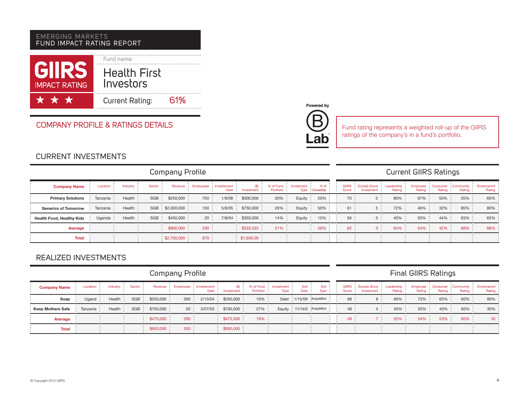### emerging markets FUND Impact Rating Report

| <b>GIRS</b><br><b>IMPACT RATING</b> | Fund name:<br><b>Health First</b><br>Investors |     |
|-------------------------------------|------------------------------------------------|-----|
| ***                                 | Current Rating:                                | 61% |

### Company Profile & Ratings Details



ab

Fund rating represents a weighted roll-up of the GIIRS ratings of the company's in a fund's portfolio.

# CURRENT INVESTMENTS

| Company Profile                  |                |                |         |                   |       |                                     | <b>Current GIIRS Ratings</b>     |            |                                        |  |      |                                                                                                                                                                   |          |       |                 |          |         |
|----------------------------------|----------------|----------------|---------|-------------------|-------|-------------------------------------|----------------------------------|------------|----------------------------------------|--|------|-------------------------------------------------------------------------------------------------------------------------------------------------------------------|----------|-------|-----------------|----------|---------|
| <b>Company Name</b>              | Location       | Industry:      | Sector: |                   |       | Revenue : Employees : Investement : | $(S)$ :<br>Date : Investment :   | Portfolio: |                                        |  |      | % of Fund : Investment : % of : : GIIRS : Score A Since : Leadership : Employee : Consumer : Community : Environemnt :<br>Type Ownership : : Score : Investment : | Rating : |       | Rating Rating : | Rating : | Rating: |
| <b>Primary Solutions</b>         | Tanzania :     | Health:        |         | SGB : \$250,000 : | 750 : |                                     | $1/8/08$ : \$500,000 :           | 20% :      | Equity: $20\%$ :                       |  | 70 : |                                                                                                                                                                   | 80% :    | 67% : | $50\%$ :        | 55% :    | 60%     |
| <b>Generics of Tomorrow</b>      | Tanzania :     | Health $\cdot$ |         | SGB: \$2,000,000: | 100:  |                                     | $5/8/05$ $\div$ \$750,000 $\div$ | $29\%$ :   | Equity $\frac{1}{2}$ 50% $\frac{1}{2}$ |  | 61:  | 5:                                                                                                                                                                | 72% :    | 46%   | $32\%$ :        | $85\%$ : | $80\%$  |
| <b>Health Food, Healthy Kids</b> | Uganda $\cdot$ | Health:        |         | SGB: \$450,000:   | 20:   |                                     | $7/8/04$ : \$350,000 :           | $14\%$ :   | Equity: $15\%$ :                       |  | 56:  |                                                                                                                                                                   | $40\%$ : | 50%   | 44% :           | $63\%$ : | 63%     |
| Average                          |                |                |         | $$900,000$ :      | 290:  |                                     | $\frac{1}{2}$ \$533,333          | $21\%$ :   | $28\%$ :                               |  | 62:  |                                                                                                                                                                   | $64\%$ : | 54%   | $42\%$ :        | 68% :    | 68%     |
| Total                            |                |                |         | \$2,700,000       | 870:  |                                     | \$1,600,00                       |            |                                        |  |      |                                                                                                                                                                   |          |       |                 |          |         |

### REALIZED INVESTMENTS

Company Profile Final GIIRS Ratings Investment: **Company Name** Location : Industry Sector : Revenue Employees Investement % of Fund  $\frac{1}{2}$ Exit : Leadership msumer : Community :<br>Rating : Rating : Environemnt (\$) Investment Exit Date GIIRS Score∆ Since Employee : Consumer<br>Rating : Rating  $Date:$ ÷ Investment : Rating Rating Portfolio Type : Rating : Type : Score : **Soap** : Ugand : Health : SGB : \$250,000 : 300 : 2/13/04 : \$250,000 : 10% : Debt 1/15/09 Acquisition : : 68 : 8 : 60% : 72% : 65% : 60% : 80% **Keep Mothers Safe** : Tanzania · Health · SGB · \$750,000 · 50 · 3/27/03 · \$700,000 · 27% · Equity ·11/14/0 ·Acquisition : 49 · 5 · 50% · 35% · 40% · 60% · 30% **Average \$475,000 \$475,000 \$475,000 \$475,000 \$475,000 \$49 \$49 \$49 \$49 \$49 \$47 \$59 \$47 \$59% \$49% \$59% \$60% \$59% Total \$950,000 \$950,000 350 \$950,000**